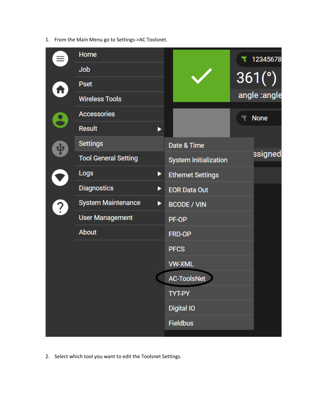1. From the Main Menu go to Settings->AC Toolsnet.

|           | Home                           |                              | 12345678     |
|-----------|--------------------------------|------------------------------|--------------|
|           | Job                            |                              |              |
|           | <b>Pset</b>                    |                              | 361(°)       |
|           | <b>Wireless Tools</b>          |                              | angle :angle |
| <u>្ង</u> | <b>Accessories</b>             |                              | <b>None</b>  |
|           | <b>Result</b><br>▶             |                              |              |
| ¢         | <b>Settings</b>                | Date & Time                  |              |
|           | <b>Tool General Setting</b>    | <b>System Initialization</b> | ssigned      |
|           | <b>Logs</b><br>▶               | <b>Ethernet Settings</b>     |              |
|           | <b>Diagnostics</b><br>▶        | <b>EOR Data Out</b>          |              |
| ?         | <b>System Maintenance</b><br>▶ | <b>BCODE / VIN</b>           |              |
|           | <b>User Management</b>         | PF-OP                        |              |
|           | <b>About</b>                   | FRD-OP                       |              |
|           |                                | <b>PFCS</b>                  |              |
|           |                                | <b>VW-XML</b>                |              |
|           |                                | <b>AC-ToolsNet</b>           |              |
|           |                                | TYT-PY                       |              |
|           |                                | <b>Digital IO</b>            |              |
|           |                                | <b>Fieldbus</b>              |              |
|           |                                |                              |              |

2. Select which tool you want to edit the Toolsnet Settings.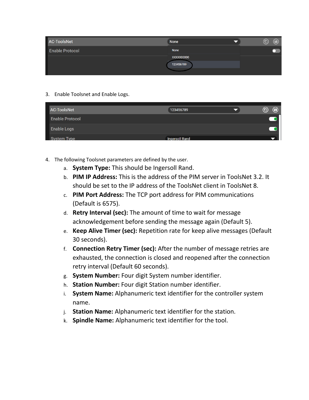| <b>AC-ToolsNet</b>     | <b>None</b>             | (6) | Ð |
|------------------------|-------------------------|-----|---|
| <b>Enable Protocol</b> | None                    |     |   |
|                        | XXXXX00000<br>123456789 |     |   |

## 3. Enable Toolsnet and Enable Logs.

| <b>AC-ToolsNet</b>     | 123456789             | $\bf \bm \Theta$<br>$^{\textregistered}$ |
|------------------------|-----------------------|------------------------------------------|
| <b>Enable Protocol</b> |                       |                                          |
| <b>Enable Logs</b>     |                       |                                          |
| <b>System Type</b>     | <b>Ingersoll Rand</b> |                                          |

- 4. The following Toolsnet parameters are defined by the user.
	- a. **System Type:** This should be Ingersoll Rand.
	- b. **PIM IP Address:** This is the address of the PIM server in ToolsNet 3.2. It should be set to the IP address of the ToolsNet client in ToolsNet 8.
	- c. **PIM Port Address:** The TCP port address for PIM communications (Default is 6575).
	- d. **Retry Interval (sec):** The amount of time to wait for message acknowledgement before sending the message again (Default 5).
	- e. **Keep Alive Timer (sec):** Repetition rate for keep alive messages (Default 30 seconds).
	- f. **Connection Retry Timer (sec):** After the number of message retries are exhausted, the connection is closed and reopened after the connection retry interval (Default 60 seconds).
	- g. **System Number:** Four digit System number identifier.
	- h. **Station Number:** Four digit Station number identifier.
	- i. **System Name:** Alphanumeric text identifier for the controller system name.
	- j. **Station Name:** Alphanumeric text identifier for the station.
	- k. **Spindle Name:** Alphanumeric text identifier for the tool.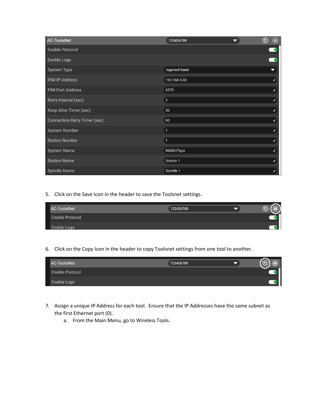| AC-ToolsNet                         | 123456789             | $^{\circledR}$<br>$\bm{\textcircled{\small{b}}}$ |
|-------------------------------------|-----------------------|--------------------------------------------------|
| <b>Enable Protocol</b>              |                       | $\overline{\phantom{0}}$                         |
| Enable Logs                         |                       | $\overline{\phantom{a}}$                         |
| <b>System Type</b>                  | <b>Ingersoll Rand</b> | $\overline{\phantom{0}}$                         |
| <b>PIM IP Address</b>               | 192.168.5.33          |                                                  |
| <b>PIM Port Address</b>             | 6575                  | I                                                |
| Retry Interval (sec)                | 5                     | ∕                                                |
| Keep Alive Timer (sec)              | 30                    |                                                  |
| <b>Connection Retry Timer (sec)</b> | 60                    |                                                  |
| <b>System Number</b>                | $\mathbf{1}$          |                                                  |
| <b>Station Number</b>               | $\mathbf{1}$          |                                                  |
| <b>System Name</b>                  | <b>INSIGHTqcx</b>     | Í                                                |
| <b>Station Name</b>                 | Station 1             |                                                  |
| <b>Spindle Name</b>                 | Spindle 1             |                                                  |

5. Click on the Save Icon in the header to save the Toolsnet settings.

| <b>AC-ToolsNet</b>     | 123456789 | E |
|------------------------|-----------|---|
| <b>Enable Protocol</b> |           |   |
| <b>Enable Logs</b>     |           |   |

6. Click on the Copy Icon in the header to copy Toolsnet settings from one tool to another.

| <b>AC-ToolsNet</b>     | 123456789 | F |
|------------------------|-----------|---|
| <b>Enable Protocol</b> |           |   |
| <b>Enable Logs</b>     |           |   |

- 7. Assign a unique IP Address for each tool. Ensure that the IP Addresses have the same subnet as the first Ethernet port (0).
	- a. From the Main Menu, go to Wireless Tools.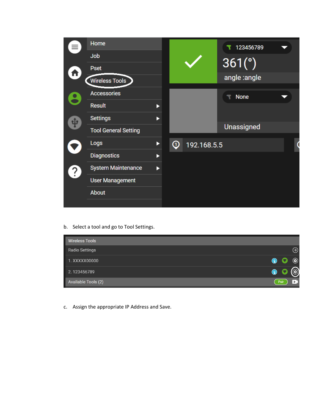

b. Select a tool and go to Tool Settings.

| <b>Wireless Tools</b> |                |           |                |
|-----------------------|----------------|-----------|----------------|
| <b>Radio Settings</b> |                |           | $\circledast$  |
| 1. XXXXX00000         | $\circledcirc$ | $\bullet$ | $\circledcirc$ |
| 2.123456789           | O              |           |                |
| Available Tools (2)   |                | Pair      |                |

c. Assign the appropriate IP Address and Save.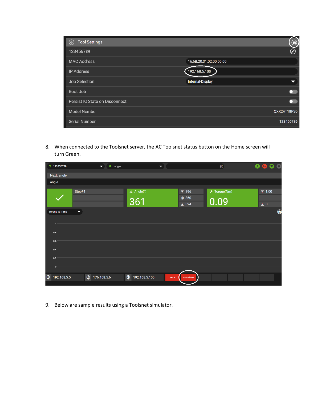| Tool Settings<br>$\odot$              | $\textcircled{\small{1}}$ |
|---------------------------------------|---------------------------|
| 123456789                             | ⊘                         |
| <b>MAC Address</b>                    | 16:6B:20:31:02:00:00:00   |
| <b>IP Address</b>                     | 192.168.5.100             |
| <b>Job Selection</b>                  | Internal-Display          |
| <b>Boot Job</b>                       |                           |
| <b>Persist IO State on Disconnect</b> |                           |
| <b>Model Number</b>                   | QXX2AT18PS6               |
| <b>Serial Number</b>                  | 123456789                 |

8. When connected to the Toolsnet server, the AC Toolsnet status button on the Home screen will turn Green.

| $\bullet$ angle<br>$\overline{\phantom{a}}$ |                               |                                 |                          | $50\%$                                                   |      | $\overline{\bullet}$ $\overline{\bullet}$ $\circ$ $\circ$ |
|---------------------------------------------|-------------------------------|---------------------------------|--------------------------|----------------------------------------------------------|------|-----------------------------------------------------------|
|                                             |                               |                                 |                          |                                                          |      |                                                           |
|                                             |                               |                                 |                          |                                                          |      |                                                           |
|                                             | X Angle(°)                    |                                 |                          |                                                          |      | 不 1.00                                                    |
|                                             |                               |                                 |                          |                                                          |      |                                                           |
|                                             |                               |                                 |                          |                                                          |      | $\overline{+}$ 0                                          |
|                                             |                               |                                 |                          |                                                          |      | $\bigcirc$                                                |
|                                             |                               |                                 |                          |                                                          |      |                                                           |
|                                             |                               |                                 |                          |                                                          |      |                                                           |
|                                             |                               |                                 |                          |                                                          |      |                                                           |
|                                             |                               |                                 |                          |                                                          |      |                                                           |
|                                             |                               |                                 |                          |                                                          |      |                                                           |
|                                             |                               |                                 |                          |                                                          |      |                                                           |
|                                             |                               |                                 |                          |                                                          |      |                                                           |
|                                             |                               |                                 |                          |                                                          |      |                                                           |
|                                             |                               | PF-OP                           |                          |                                                          |      |                                                           |
|                                             | $\circledcirc$<br>176.168.5.6 | 361<br>$\odot$<br>192.168.5.100 | $\overline{\phantom{a}}$ | 不 396<br>@360<br>$\frac{1}{2}$ 324<br><b>AC-ToolsNet</b> | 0.09 | $\bigstar$ Torque(Nm)                                     |

9. Below are sample results using a Toolsnet simulator.